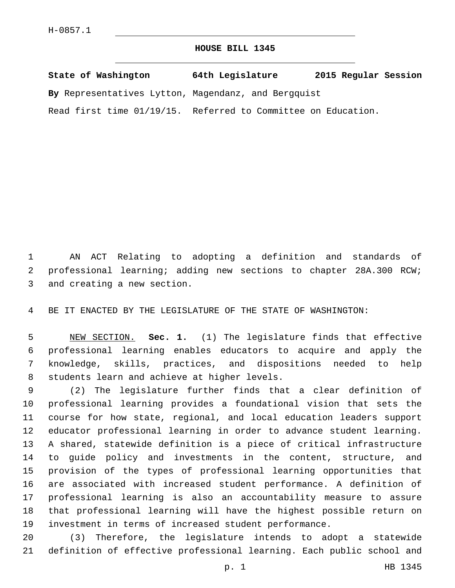## **HOUSE BILL 1345**

| State of Washington                                           | 64th Legislature | 2015 Regular Session |
|---------------------------------------------------------------|------------------|----------------------|
| By Representatives Lytton, Magendanz, and Bergquist           |                  |                      |
| Read first time 01/19/15. Referred to Committee on Education. |                  |                      |

 AN ACT Relating to adopting a definition and standards of professional learning; adding new sections to chapter 28A.300 RCW; 3 and creating a new section.

BE IT ENACTED BY THE LEGISLATURE OF THE STATE OF WASHINGTON:

 NEW SECTION. **Sec. 1.** (1) The legislature finds that effective professional learning enables educators to acquire and apply the knowledge, skills, practices, and dispositions needed to help students learn and achieve at higher levels.

 (2) The legislature further finds that a clear definition of professional learning provides a foundational vision that sets the course for how state, regional, and local education leaders support educator professional learning in order to advance student learning. A shared, statewide definition is a piece of critical infrastructure to guide policy and investments in the content, structure, and provision of the types of professional learning opportunities that are associated with increased student performance. A definition of professional learning is also an accountability measure to assure that professional learning will have the highest possible return on investment in terms of increased student performance.

 (3) Therefore, the legislature intends to adopt a statewide definition of effective professional learning. Each public school and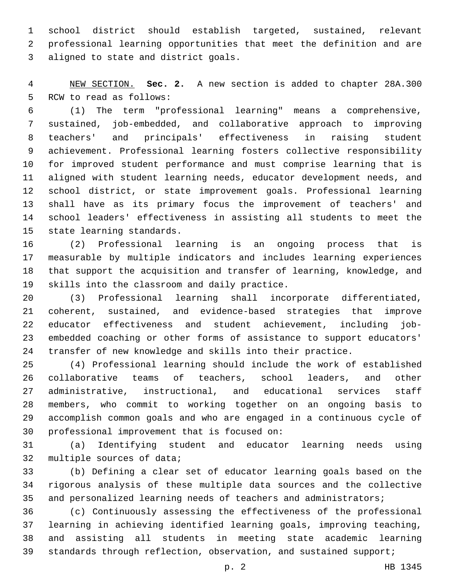school district should establish targeted, sustained, relevant professional learning opportunities that meet the definition and are 3 aligned to state and district goals.

 NEW SECTION. **Sec. 2.** A new section is added to chapter 28A.300 5 RCW to read as follows:

 (1) The term "professional learning" means a comprehensive, sustained, job-embedded, and collaborative approach to improving teachers' and principals' effectiveness in raising student achievement. Professional learning fosters collective responsibility for improved student performance and must comprise learning that is aligned with student learning needs, educator development needs, and school district, or state improvement goals. Professional learning shall have as its primary focus the improvement of teachers' and school leaders' effectiveness in assisting all students to meet the 15 state learning standards.

 (2) Professional learning is an ongoing process that is measurable by multiple indicators and includes learning experiences that support the acquisition and transfer of learning, knowledge, and 19 skills into the classroom and daily practice.

 (3) Professional learning shall incorporate differentiated, coherent, sustained, and evidence-based strategies that improve educator effectiveness and student achievement, including job- embedded coaching or other forms of assistance to support educators' transfer of new knowledge and skills into their practice.

 (4) Professional learning should include the work of established collaborative teams of teachers, school leaders, and other administrative, instructional, and educational services staff members, who commit to working together on an ongoing basis to accomplish common goals and who are engaged in a continuous cycle of 30 professional improvement that is focused on:

 (a) Identifying student and educator learning needs using 32 multiple sources of data;

 (b) Defining a clear set of educator learning goals based on the rigorous analysis of these multiple data sources and the collective 35 and personalized learning needs of teachers and administrators;

 (c) Continuously assessing the effectiveness of the professional learning in achieving identified learning goals, improving teaching, and assisting all students in meeting state academic learning 39 standards through reflection, observation, and sustained support;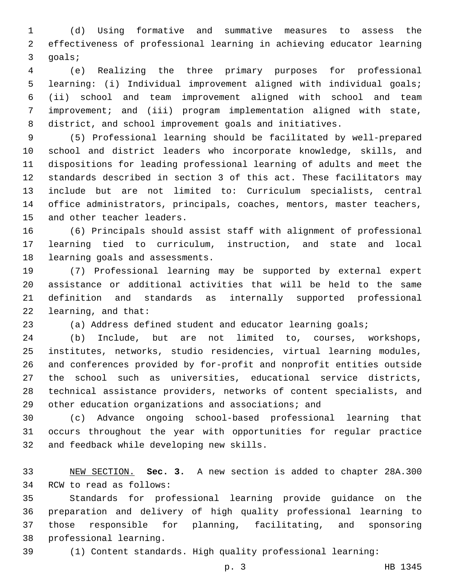(d) Using formative and summative measures to assess the effectiveness of professional learning in achieving educator learning 3 goals;

 (e) Realizing the three primary purposes for professional learning: (i) Individual improvement aligned with individual goals; (ii) school and team improvement aligned with school and team improvement; and (iii) program implementation aligned with state, district, and school improvement goals and initiatives.

 (5) Professional learning should be facilitated by well-prepared school and district leaders who incorporate knowledge, skills, and dispositions for leading professional learning of adults and meet the standards described in section 3 of this act. These facilitators may include but are not limited to: Curriculum specialists, central office administrators, principals, coaches, mentors, master teachers, 15 and other teacher leaders.

 (6) Principals should assist staff with alignment of professional learning tied to curriculum, instruction, and state and local 18 learning goals and assessments.

 (7) Professional learning may be supported by external expert assistance or additional activities that will be held to the same definition and standards as internally supported professional 22 learning, and that:

(a) Address defined student and educator learning goals;

 (b) Include, but are not limited to, courses, workshops, institutes, networks, studio residencies, virtual learning modules, and conferences provided by for-profit and nonprofit entities outside the school such as universities, educational service districts, technical assistance providers, networks of content specialists, and other education organizations and associations; and

 (c) Advance ongoing school-based professional learning that occurs throughout the year with opportunities for regular practice 32 and feedback while developing new skills.

 NEW SECTION. **Sec. 3.** A new section is added to chapter 28A.300 34 RCW to read as follows:

 Standards for professional learning provide guidance on the preparation and delivery of high quality professional learning to those responsible for planning, facilitating, and sponsoring 38 professional learning.

(1) Content standards. High quality professional learning: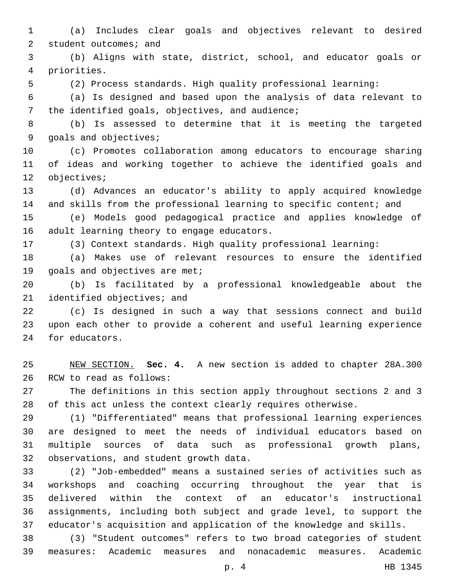(a) Includes clear goals and objectives relevant to desired 2 student outcomes; and

 (b) Aligns with state, district, school, and educator goals or priorities.4

(2) Process standards. High quality professional learning:

 (a) Is designed and based upon the analysis of data relevant to 7 the identified goals, objectives, and audience;

 (b) Is assessed to determine that it is meeting the targeted 9 goals and objectives;

 (c) Promotes collaboration among educators to encourage sharing of ideas and working together to achieve the identified goals and 12 objectives;

 (d) Advances an educator's ability to apply acquired knowledge 14 and skills from the professional learning to specific content; and

 (e) Models good pedagogical practice and applies knowledge of 16 adult learning theory to engage educators.

(3) Context standards. High quality professional learning:

 (a) Makes use of relevant resources to ensure the identified 19 goals and objectives are met;

 (b) Is facilitated by a professional knowledgeable about the 21 identified objectives; and

 (c) Is designed in such a way that sessions connect and build upon each other to provide a coherent and useful learning experience 24 for educators.

 NEW SECTION. **Sec. 4.** A new section is added to chapter 28A.300 26 RCW to read as follows:

 The definitions in this section apply throughout sections 2 and 3 of this act unless the context clearly requires otherwise.

 (1) "Differentiated" means that professional learning experiences are designed to meet the needs of individual educators based on multiple sources of data such as professional growth plans, 32 observations, and student growth data.

 (2) "Job-embedded" means a sustained series of activities such as workshops and coaching occurring throughout the year that is delivered within the context of an educator's instructional assignments, including both subject and grade level, to support the educator's acquisition and application of the knowledge and skills.

 (3) "Student outcomes" refers to two broad categories of student measures: Academic measures and nonacademic measures. Academic

p. 4 HB 1345